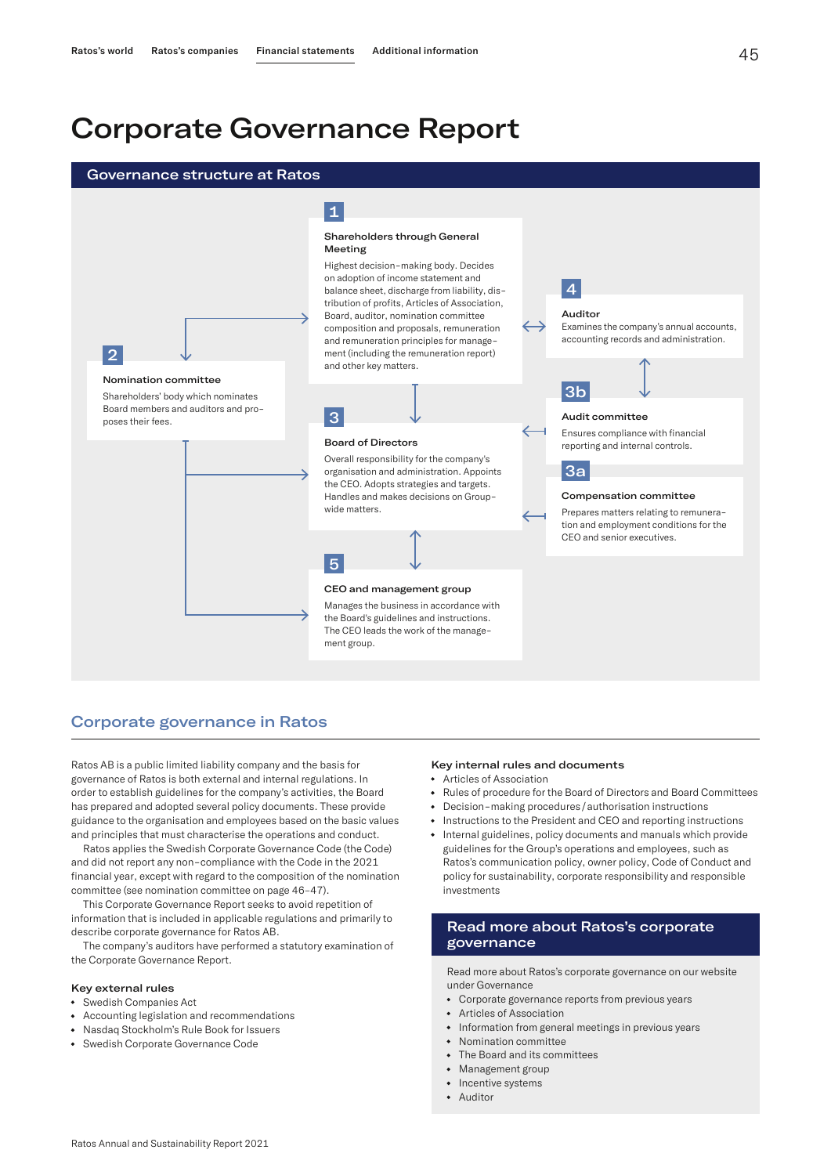# Corporate Governance Report





# Corporate governance in Ratos

Ratos AB is a public limited liability company and the basis for governance of Ratos is both external and internal regulations. In order to establish guidelines for the company's activities, the Board has prepared and adopted several policy documents. These provide guidance to the organisation and employees based on the basic values and principles that must characterise the operations and conduct.

Ratos applies the Swedish Corporate Governance Code (the Code) and did not report any non-compliance with the Code in the 2021 financial year, except with regard to the composition of the nomination committee (see nomination committee on page 46–47).

This Corporate Governance Report seeks to avoid repetition of information that is included in applicable regulations and primarily to describe corporate governance for Ratos AB.

The company's auditors have performed a statutory examination of the Corporate Governance Report.

#### Key external rules

- Swedish Companies Act
- Accounting legislation and recommendations
- Nasdaq Stockholm's Rule Book for Issuers
- Swedish Corporate Governance Code

#### Key internal rules and documents

- Articles of Association
- Rules of procedure for the Board of Directors and Board Committees
- Decision-making procedures/authorisation instructions
- Instructions to the President and CEO and reporting instructions
- Internal guidelines, policy documents and manuals which provide guidelines for the Group's operations and employees, such as Ratos's communication policy, owner policy, Code of Conduct and policy for sustainability, corporate responsibility and responsible investments

# Read more about Ratos's corporate governance

Read more about Ratos's corporate governance on our website under Governance

- Corporate governance reports from previous years
- Articles of Association
- Information from general meetings in previous years
- Nomination committee
- The Board and its committees
- Management group
- Incentive systems
- Auditor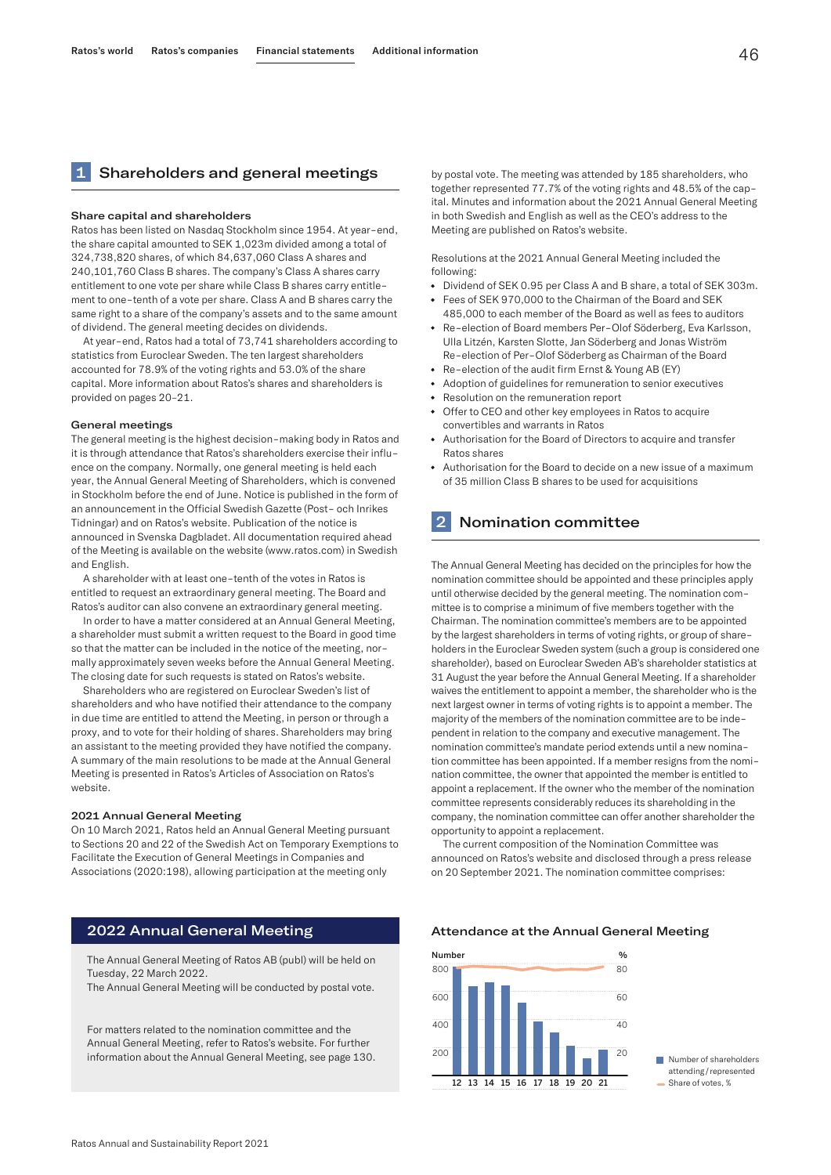# Shareholders and general meetings

#### Share capital and shareholders

Ratos has been listed on Nasdaq Stockholm since 1954. At year-end, the share capital amounted to SEK 1,023m divided among a total of 324,738,820 shares, of which 84,637,060 Class A shares and 240,101,760 Class B shares. The company's Class A shares carry entitlement to one vote per share while Class B shares carry entitlement to one-tenth of a vote per share. Class A and B shares carry the same right to a share of the company's assets and to the same amount of dividend. The general meeting decides on dividends.

At year-end, Ratos had a total of 73,741 shareholders according to statistics from Euroclear Sweden. The ten largest shareholders accounted for 78.9% of the voting rights and 53.0% of the share capital. More information about Ratos's shares and shareholders is provided on pages 20–21.

#### General meetings

The general meeting is the highest decision-making body in Ratos and it is through attendance that Ratos's shareholders exercise their influence on the company. Normally, one general meeting is held each year, the Annual General Meeting of Shareholders, which is convened in Stockholm before the end of June. Notice is published in the form of an announcement in the Official Swedish Gazette (Post- och Inrikes Tidningar) and on Ratos's website. Publication of the notice is announced in Svenska Dagbladet. All documentation required ahead of the Meeting is available on the website (www.ratos.com) in Swedish and English.

A shareholder with at least one-tenth of the votes in Ratos is entitled to request an extraordinary general meeting. The Board and Ratos's auditor can also convene an extraordinary general meeting.

In order to have a matter considered at an Annual General Meeting, a shareholder must submit a written request to the Board in good time so that the matter can be included in the notice of the meeting, normally approximately seven weeks before the Annual General Meeting. The closing date for such requests is stated on Ratos's website.

Shareholders who are registered on Euroclear Sweden's list of shareholders and who have notified their attendance to the company in due time are entitled to attend the Meeting, in person or through a proxy, and to vote for their holding of shares. Shareholders may bring an assistant to the meeting provided they have notified the company. A summary of the main resolutions to be made at the Annual General Meeting is presented in Ratos's Articles of Association on Ratos's website.

#### 2021 Annual General Meeting

On 10 March 2021, Ratos held an Annual General Meeting pursuant to Sections 20 and 22 of the Swedish Act on Temporary Exemptions to Facilitate the Execution of General Meetings in Companies and Associations (2020:198), allowing participation at the meeting only

# 2022 Annual General Meeting

The Annual General Meeting of Ratos AB (publ) will be held on Tuesday, 22 March 2022.

The Annual General Meeting will be conducted by postal vote.

For matters related to the nomination committee and the Annual General Meeting, refer to Ratos's website. For further information about the Annual General Meeting, see page 130.

by postal vote. The meeting was attended by 185 shareholders, who together represented 77.7% of the voting rights and 48.5% of the capital. Minutes and information about the 2021 Annual General Meeting in both Swedish and English as well as the CEO's address to the Meeting are published on Ratos's website.

Resolutions at the 2021 Annual General Meeting included the following:

- Dividend of SEK 0.95 per Class A and B share, a total of SEK 303m. • Fees of SEK 970,000 to the Chairman of the Board and SEK
- 485,000 to each member of the Board as well as fees to auditors
- Re-election of Board members Per-Olof Söderberg, Eva Karlsson, Ulla Litzén, Karsten Slotte, Jan Söderberg and Jonas Wiström Re-election of Per-Olof Söderberg as Chairman of the Board
- Re-election of the audit firm Ernst & Young AB (EY)
- Adoption of guidelines for remuneration to senior executives
- Resolution on the remuneration report
- Offer to CEO and other key employees in Ratos to acquire convertibles and warrants in Ratos
- Authorisation for the Board of Directors to acquire and transfer Ratos shares
- Authorisation for the Board to decide on a new issue of a maximum of 35 million Class B shares to be used for acquisitions

# **Nomination committee**

The Annual General Meeting has decided on the principles for how the nomination committee should be appointed and these principles apply until otherwise decided by the general meeting. The nomination committee is to comprise a minimum of five members together with the Chairman. The nomination committee's members are to be appointed by the largest shareholders in terms of voting rights, or group of shareholders in the Euroclear Sweden system (such a group is considered one shareholder), based on Euroclear Sweden AB's shareholder statistics at 31 August the year before the Annual General Meeting. If a shareholder waives the entitlement to appoint a member, the shareholder who is the next largest owner in terms of voting rights is to appoint a member. The majority of the members of the nomination committee are to be independent in relation to the company and executive management. The nomination committee's mandate period extends until a new nomination committee has been appointed. If a member resigns from the nomination committee, the owner that appointed the member is entitled to appoint a replacement. If the owner who the member of the nomination committee represents considerably reduces its shareholding in the company, the nomination committee can offer another shareholder the opportunity to appoint a replacement.

The current composition of the Nomination Committee was announced on Ratos's website and disclosed through a press release on 20 September 2021. The nomination committee comprises:

#### Attendance at the Annual General Meeting



Number of shareholders attending/represented Share of votes, %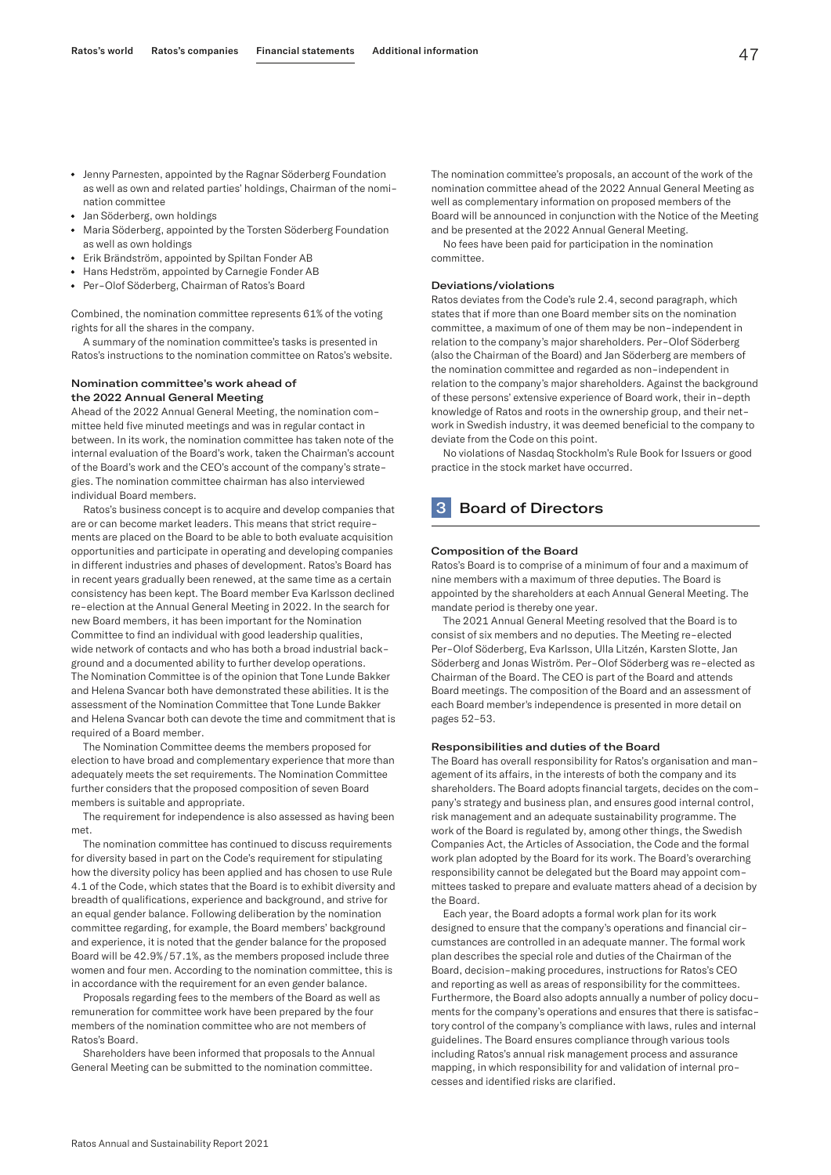- Jenny Parnesten, appointed by the Ragnar Söderberg Foundation as well as own and related parties' holdings, Chairman of the nomination committee
- Jan Söderberg, own holdings
- Maria Söderberg, appointed by the Torsten Söderberg Foundation as well as own holdings
- Erik Brändström, appointed by Spiltan Fonder AB
- Hans Hedström, appointed by Carnegie Fonder AB
- Per-Olof Söderberg, Chairman of Ratos's Board

Combined, the nomination committee represents 61% of the voting rights for all the shares in the company.

A summary of the nomination committee's tasks is presented in Ratos's instructions to the nomination committee on Ratos's website.

#### Nomination committee's work ahead of the 2022 Annual General Meeting

Ahead of the 2022 Annual General Meeting, the nomination committee held five minuted meetings and was in regular contact in between. In its work, the nomination committee has taken note of the internal evaluation of the Board's work, taken the Chairman's account of the Board's work and the CEO's account of the company's strategies. The nomination committee chairman has also interviewed individual Board members.

Ratos's business concept is to acquire and develop companies that are or can become market leaders. This means that strict requirements are placed on the Board to be able to both evaluate acquisition opportunities and participate in operating and developing companies in different industries and phases of development. Ratos's Board has in recent years gradually been renewed, at the same time as a certain consistency has been kept. The Board member Eva Karlsson declined re-election at the Annual General Meeting in 2022. In the search for new Board members, it has been important for the Nomination Committee to find an individual with good leadership qualities, wide network of contacts and who has both a broad industrial background and a documented ability to further develop operations. The Nomination Committee is of the opinion that Tone Lunde Bakker and Helena Svancar both have demonstrated these abilities. It is the assessment of the Nomination Committee that Tone Lunde Bakker and Helena Svancar both can devote the time and commitment that is required of a Board member.

The Nomination Committee deems the members proposed for election to have broad and complementary experience that more than adequately meets the set requirements. The Nomination Committee further considers that the proposed composition of seven Board members is suitable and appropriate.

The requirement for independence is also assessed as having been met.

The nomination committee has continued to discuss requirements for diversity based in part on the Code's requirement for stipulating how the diversity policy has been applied and has chosen to use Rule 4.1 of the Code, which states that the Board is to exhibit diversity and breadth of qualifications, experience and background, and strive for an equal gender balance. Following deliberation by the nomination committee regarding, for example, the Board members' background and experience, it is noted that the gender balance for the proposed Board will be 42.9%/57.1%, as the members proposed include three women and four men. According to the nomination committee, this is in accordance with the requirement for an even gender balance.

Proposals regarding fees to the members of the Board as well as remuneration for committee work have been prepared by the four members of the nomination committee who are not members of Ratos's Board.

Shareholders have been informed that proposals to the Annual General Meeting can be submitted to the nomination committee.

The nomination committee's proposals, an account of the work of the nomination committee ahead of the 2022 Annual General Meeting as well as complementary information on proposed members of the Board will be announced in conjunction with the Notice of the Meeting and be presented at the 2022 Annual General Meeting.

No fees have been paid for participation in the nomination committee.

#### Deviations/violations

Ratos deviates from the Code's rule 2.4, second paragraph, which states that if more than one Board member sits on the nomination committee, a maximum of one of them may be non-independent in relation to the company's major shareholders. Per-Olof Söderberg (also the Chairman of the Board) and Jan Söderberg are members of the nomination committee and regarded as non-independent in relation to the company's major shareholders. Against the background of these persons' extensive experience of Board work, their in-depth knowledge of Ratos and roots in the ownership group, and their network in Swedish industry, it was deemed beneficial to the company to deviate from the Code on this point.

No violations of Nasdaq Stockholm's Rule Book for Issuers or good practice in the stock market have occurred.

# **3** Board of Directors

#### Composition of the Board

Ratos's Board is to comprise of a minimum of four and a maximum of nine members with a maximum of three deputies. The Board is appointed by the shareholders at each Annual General Meeting. The mandate period is thereby one year.

The 2021 Annual General Meeting resolved that the Board is to consist of six members and no deputies. The Meeting re-elected Per-Olof Söderberg, Eva Karlsson, Ulla Litzén, Karsten Slotte, Jan Söderberg and Jonas Wiström. Per-Olof Söderberg was re-elected as Chairman of the Board. The CEO is part of the Board and attends Board meetings. The composition of the Board and an assessment of each Board member's independence is presented in more detail on pages 52–53.

#### Responsibilities and duties of the Board

The Board has overall responsibility for Ratos's organisation and management of its affairs, in the interests of both the company and its shareholders. The Board adopts financial targets, decides on the company's strategy and business plan, and ensures good internal control, risk management and an adequate sustainability programme. The work of the Board is regulated by, among other things, the Swedish Companies Act, the Articles of Association, the Code and the formal work plan adopted by the Board for its work. The Board's overarching responsibility cannot be delegated but the Board may appoint committees tasked to prepare and evaluate matters ahead of a decision by the Board.

Each year, the Board adopts a formal work plan for its work designed to ensure that the company's operations and financial circumstances are controlled in an adequate manner. The formal work plan describes the special role and duties of the Chairman of the Board, decision-making procedures, instructions for Ratos's CEO and reporting as well as areas of responsibility for the committees. Furthermore, the Board also adopts annually a number of policy documents for the company's operations and ensures that there is satisfactory control of the company's compliance with laws, rules and internal guidelines. The Board ensures compliance through various tools including Ratos's annual risk management process and assurance mapping, in which responsibility for and validation of internal processes and identified risks are clarified.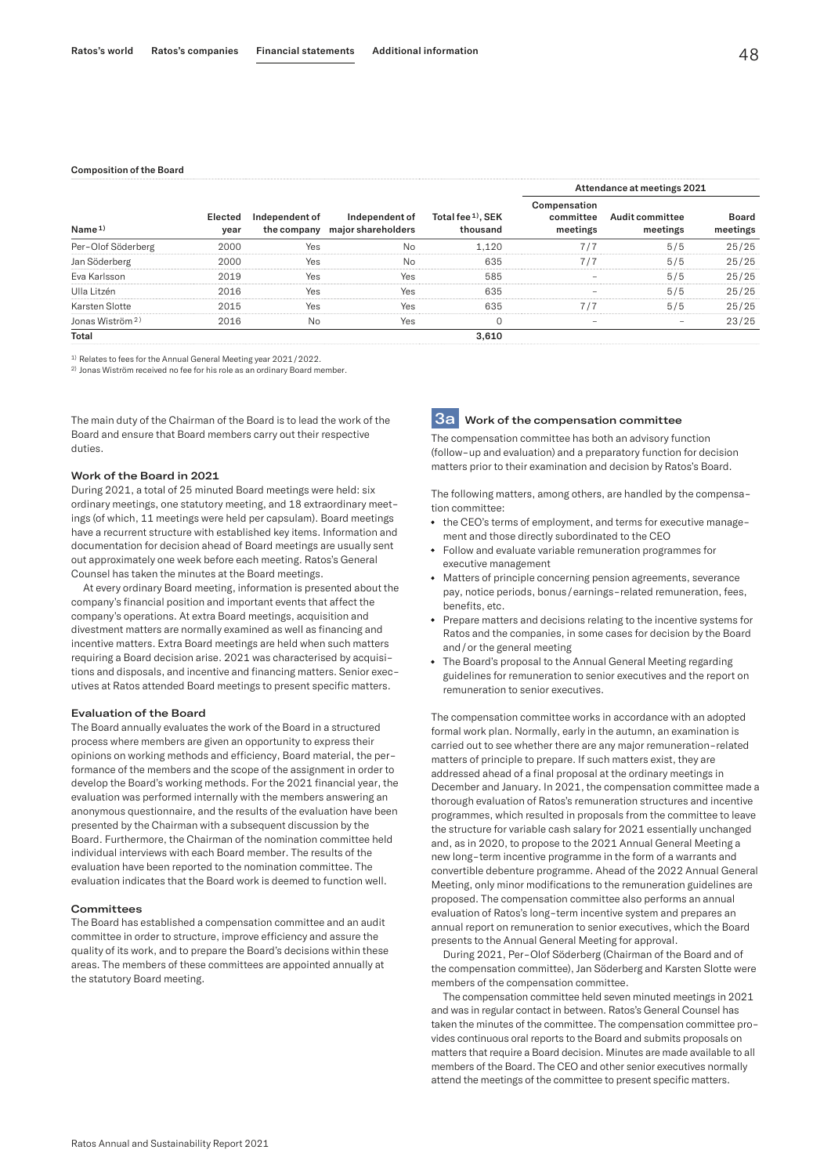#### Composition of the Board

| Name <sub>1</sub>           | Elected<br>year | Independent of<br>the company | Independent of<br>major shareholders | Total fee <sup>1</sup> , SEK<br>thousand | Attendance at meetings 2021           |                                                                           |                   |
|-----------------------------|-----------------|-------------------------------|--------------------------------------|------------------------------------------|---------------------------------------|---------------------------------------------------------------------------|-------------------|
|                             |                 |                               |                                      |                                          | Compensation<br>committee<br>meetings | Audit committee<br>meetings                                               | Board<br>meetings |
| Per-Olof Söderberg          | 2000            | Yes                           | No                                   | 1.120                                    | 7/7                                   | 5/5                                                                       | 25/25             |
| Jan Söderberg               | 2000            | Yes                           | No                                   | 635                                      | 7/7                                   | 5/5                                                                       | 25/25             |
| Eva Karlsson                | 2019            | Yes                           | Yes                                  | 585                                      |                                       | 5/5                                                                       | 25/25             |
| Ulla Litzén                 | 2016            | Yes                           | Yes                                  | 635                                      | -                                     | 5/5                                                                       | 25/25             |
| Karsten Slotte              | 2015            | Yes                           | Yes                                  | 635                                      | 7/7                                   | 5/5                                                                       | 25/25             |
| Jonas Wiström <sup>2)</sup> | 2016            | No                            | Yes                                  | $\mathbf 0$                              | -                                     | $\hspace{1.0cm} \rule{1.5cm}{0.15cm} \hspace{1.0cm} \rule{1.5cm}{0.15cm}$ | 23/25             |
| Total                       |                 |                               |                                      | 3.610                                    |                                       |                                                                           |                   |

1) Relates to fees for the Annual General Meeting year 2021/2022.

2) Jonas Wiström received no fee for his role as an ordinary Board member.

The main duty of the Chairman of the Board is to lead the work of the Board and ensure that Board members carry out their respective duties.

#### Work of the Board in 2021

During 2021, a total of 25 minuted Board meetings were held: six ordinary meetings, one statutory meeting, and 18 extraordinary meetings (of which, 11 meetings were held per capsulam). Board meetings have a recurrent structure with established key items. Information and documentation for decision ahead of Board meetings are usually sent out approximately one week before each meeting. Ratos's General Counsel has taken the minutes at the Board meetings.

At every ordinary Board meeting, information is presented about the company's financial position and important events that affect the company's operations. At extra Board meetings, acquisition and divestment matters are normally examined as well as financing and incentive matters. Extra Board meetings are held when such matters requiring a Board decision arise. 2021 was characterised by acquisitions and disposals, and incentive and financing matters. Senior executives at Ratos attended Board meetings to present specific matters.

#### Evaluation of the Board

The Board annually evaluates the work of the Board in a structured process where members are given an opportunity to express their opinions on working methods and efficiency, Board material, the performance of the members and the scope of the assignment in order to develop the Board's working methods. For the 2021 financial year, the evaluation was performed internally with the members answering an anonymous questionnaire, and the results of the evaluation have been presented by the Chairman with a subsequent discussion by the Board. Furthermore, the Chairman of the nomination committee held individual interviews with each Board member. The results of the evaluation have been reported to the nomination committee. The evaluation indicates that the Board work is deemed to function well.

#### **Committees**

The Board has established a compensation committee and an audit committee in order to structure, improve efficiency and assure the quality of its work, and to prepare the Board's decisions within these areas. The members of these committees are appointed annually at the statutory Board meeting.

# **3a** Work of the compensation committee

The compensation committee has both an advisory function (follow-up and evaluation) and a preparatory function for decision matters prior to their examination and decision by Ratos's Board.

The following matters, among others, are handled by the compensation committee:

- the CEO's terms of employment, and terms for executive management and those directly subordinated to the CEO
- Follow and evaluate variable remuneration programmes for executive management
- Matters of principle concerning pension agreements, severance pay, notice periods, bonus/earnings-related remuneration, fees, benefits, etc.
- Prepare matters and decisions relating to the incentive systems for Ratos and the companies, in some cases for decision by the Board and/or the general meeting
- The Board's proposal to the Annual General Meeting regarding guidelines for remuneration to senior executives and the report on remuneration to senior executives.

The compensation committee works in accordance with an adopted formal work plan. Normally, early in the autumn, an examination is carried out to see whether there are any major remuneration-related matters of principle to prepare. If such matters exist, they are addressed ahead of a final proposal at the ordinary meetings in December and January. In 2021, the compensation committee made a thorough evaluation of Ratos's remuneration structures and incentive programmes, which resulted in proposals from the committee to leave the structure for variable cash salary for 2021 essentially unchanged and, as in 2020, to propose to the 2021 Annual General Meeting a new long-term incentive programme in the form of a warrants and convertible debenture programme. Ahead of the 2022 Annual General Meeting, only minor modifications to the remuneration guidelines are proposed. The compensation committee also performs an annual evaluation of Ratos's long-term incentive system and prepares an annual report on remuneration to senior executives, which the Board presents to the Annual General Meeting for approval.

During 2021, Per-Olof Söderberg (Chairman of the Board and of the compensation committee), Jan Söderberg and Karsten Slotte were members of the compensation committee.

The compensation committee held seven minuted meetings in 2021 and was in regular contact in between. Ratos's General Counsel has taken the minutes of the committee. The compensation committee provides continuous oral reports to the Board and submits proposals on matters that require a Board decision. Minutes are made available to all members of the Board. The CEO and other senior executives normally attend the meetings of the committee to present specific matters.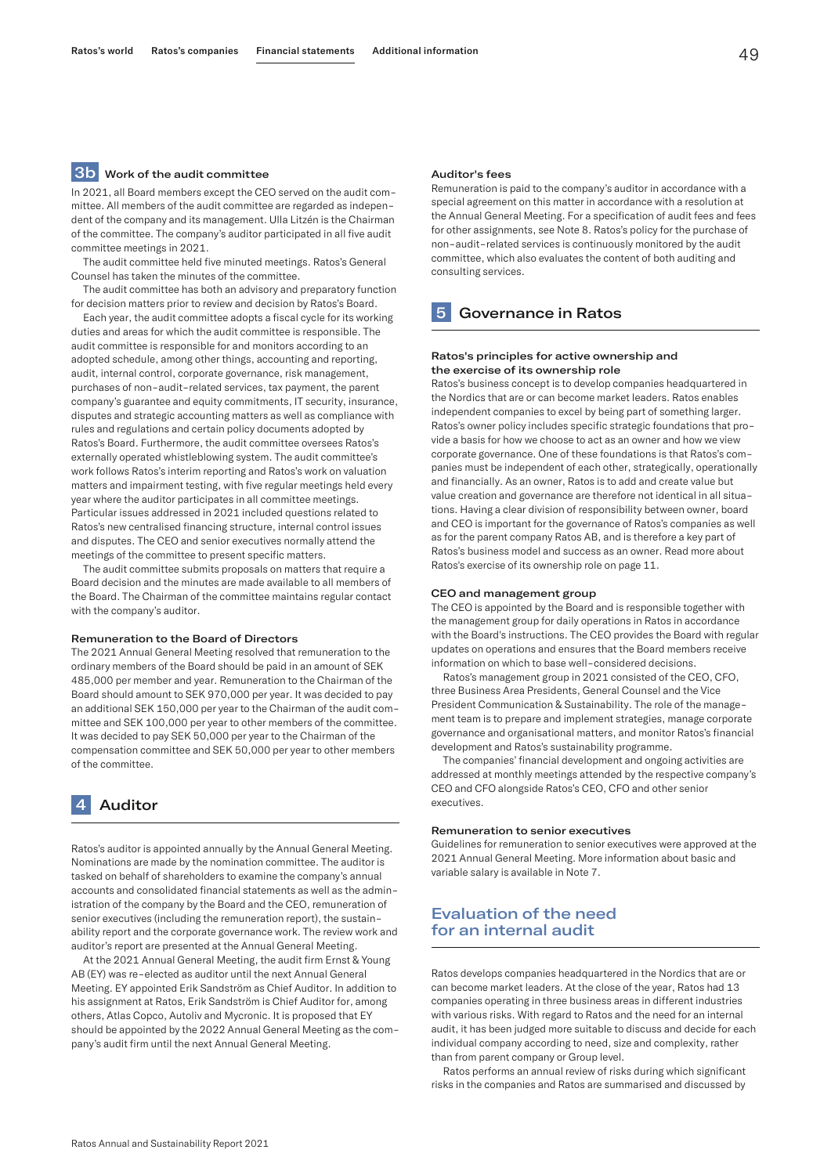# **3b** Work of the audit committee

In 2021, all Board members except the CEO served on the audit committee. All members of the audit committee are regarded as independent of the company and its management. Ulla Litzén is the Chairman of the committee. The company's auditor participated in all five audit committee meetings in 2021.

The audit committee held five minuted meetings. Ratos's General Counsel has taken the minutes of the committee.

The audit committee has both an advisory and preparatory function for decision matters prior to review and decision by Ratos's Board.

Each year, the audit committee adopts a fiscal cycle for its working duties and areas for which the audit committee is responsible. The audit committee is responsible for and monitors according to an adopted schedule, among other things, accounting and reporting, audit, internal control, corporate governance, risk management, purchases of non-audit-related services, tax payment, the parent company's guarantee and equity commitments, IT security, insurance, disputes and strategic accounting matters as well as compliance with rules and regulations and certain policy documents adopted by Ratos's Board. Furthermore, the audit committee oversees Ratos's externally operated whistleblowing system. The audit committee's work follows Ratos's interim reporting and Ratos's work on valuation matters and impairment testing, with five regular meetings held every year where the auditor participates in all committee meetings. Particular issues addressed in 2021 included questions related to Ratos's new centralised financing structure, internal control issues and disputes. The CEO and senior executives normally attend the meetings of the committee to present specific matters.

The audit committee submits proposals on matters that require a Board decision and the minutes are made available to all members of the Board. The Chairman of the committee maintains regular contact with the company's auditor.

#### Remuneration to the Board of Directors

The 2021 Annual General Meeting resolved that remuneration to the ordinary members of the Board should be paid in an amount of SEK 485,000 per member and year. Remuneration to the Chairman of the Board should amount to SEK 970,000 per year. It was decided to pay an additional SEK 150,000 per year to the Chairman of the audit committee and SEK 100,000 per year to other members of the committee. It was decided to pay SEK 50,000 per year to the Chairman of the compensation committee and SEK 50,000 per year to other members of the committee.

# 4 Auditor

Ratos's auditor is appointed annually by the Annual General Meeting. Nominations are made by the nomination committee. The auditor is tasked on behalf of shareholders to examine the company's annual accounts and consolidated financial statements as well as the administration of the company by the Board and the CEO, remuneration of senior executives (including the remuneration report), the sustainability report and the corporate governance work. The review work and auditor's report are presented at the Annual General Meeting.

At the 2021 Annual General Meeting, the audit firm Ernst & Young AB (EY) was re-elected as auditor until the next Annual General Meeting. EY appointed Erik Sandström as Chief Auditor. In addition to his assignment at Ratos, Erik Sandström is Chief Auditor for, among others, Atlas Copco, Autoliv and Mycronic. It is proposed that EY should be appointed by the 2022 Annual General Meeting as the company's audit firm until the next Annual General Meeting.

#### Auditor's fees

Remuneration is paid to the company's auditor in accordance with a special agreement on this matter in accordance with a resolution at the Annual General Meeting. For a specification of audit fees and fees for other assignments, see Note 8. Ratos's policy for the purchase of non-audit-related services is continuously monitored by the audit committee, which also evaluates the content of both auditing and consulting services.

### 5 Governance in Ratos

#### Ratos's principles for active ownership and the exercise of its ownership role

Ratos's business concept is to develop companies headquartered in the Nordics that are or can become market leaders. Ratos enables independent companies to excel by being part of something larger. Ratos's owner policy includes specific strategic foundations that provide a basis for how we choose to act as an owner and how we view corporate governance. One of these foundations is that Ratos's companies must be independent of each other, strategically, operationally and financially. As an owner, Ratos is to add and create value but value creation and governance are therefore not identical in all situations. Having a clear division of responsibility between owner, board and CEO is important for the governance of Ratos's companies as well as for the parent company Ratos AB, and is therefore a key part of Ratos's business model and success as an owner. Read more about Ratos's exercise of its ownership role on page 11.

#### CEO and management group

The CEO is appointed by the Board and is responsible together with the management group for daily operations in Ratos in accordance with the Board's instructions. The CEO provides the Board with regular updates on operations and ensures that the Board members receive information on which to base well-considered decisions.

Ratos's management group in 2021 consisted of the CEO, CFO, three Business Area Presidents, General Counsel and the Vice President Communication & Sustainability. The role of the management team is to prepare and implement strategies, manage corporate governance and organisational matters, and monitor Ratos's financial development and Ratos's sustainability programme.

The companies' financial development and ongoing activities are addressed at monthly meetings attended by the respective company's CEO and CFO alongside Ratos's CEO, CFO and other senior executives.

#### Remuneration to senior executives

Guidelines for remuneration to senior executives were approved at the 2021 Annual General Meeting. More information about basic and variable salary is available in Note 7.

# Evaluation of the need for an internal audit

Ratos develops companies headquartered in the Nordics that are or can become market leaders. At the close of the year, Ratos had 13 companies operating in three business areas in different industries with various risks. With regard to Ratos and the need for an internal audit, it has been judged more suitable to discuss and decide for each individual company according to need, size and complexity, rather than from parent company or Group level.

Ratos performs an annual review of risks during which significant risks in the companies and Ratos are summarised and discussed by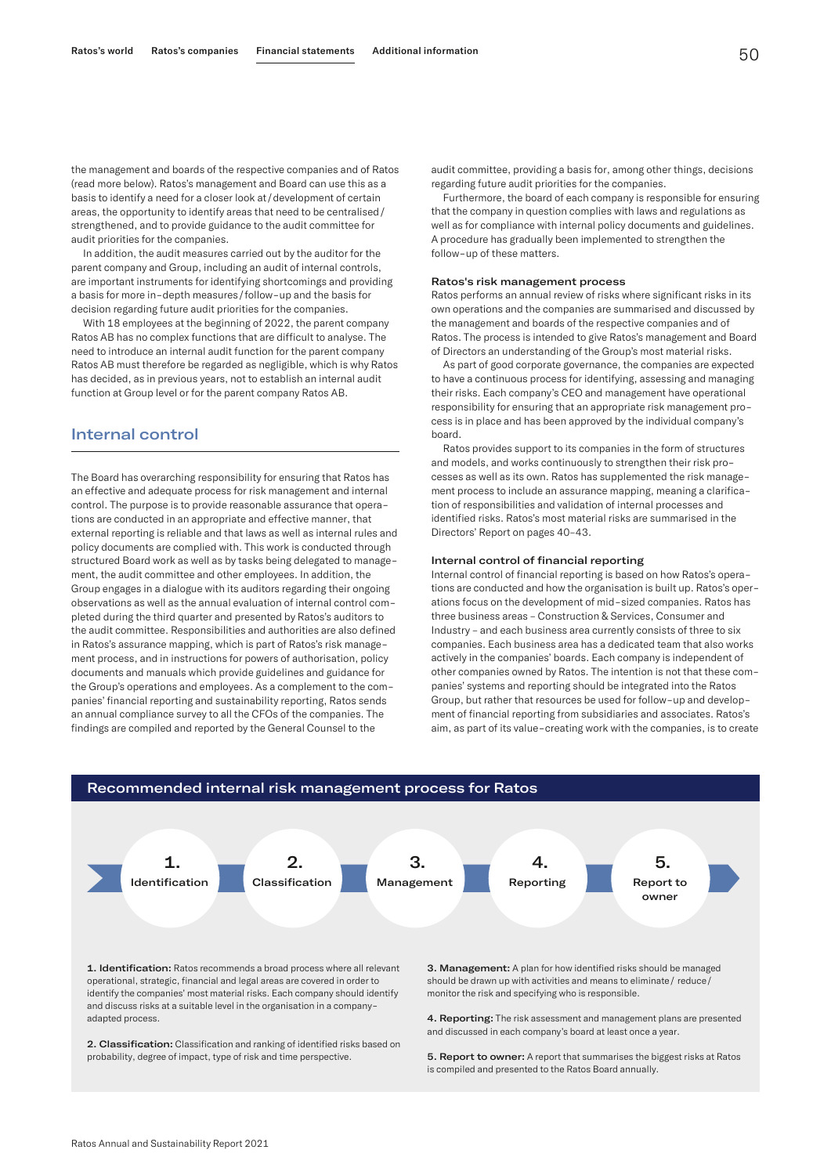the management and boards of the respective companies and of Ratos (read more below). Ratos's management and Board can use this as a basis to identify a need for a closer look at/development of certain areas, the opportunity to identify areas that need to be centralised/ strengthened, and to provide guidance to the audit committee for audit priorities for the companies.

In addition, the audit measures carried out by the auditor for the parent company and Group, including an audit of internal controls, are important instruments for identifying shortcomings and providing a basis for more in-depth measures/follow-up and the basis for decision regarding future audit priorities for the companies.

With 18 employees at the beginning of 2022, the parent company Ratos AB has no complex functions that are difficult to analyse. The need to introduce an internal audit function for the parent company Ratos AB must therefore be regarded as negligible, which is why Ratos has decided, as in previous years, not to establish an internal audit function at Group level or for the parent company Ratos AB.

# Internal control

The Board has overarching responsibility for ensuring that Ratos has an effective and adequate process for risk management and internal control. The purpose is to provide reasonable assurance that operations are conducted in an appropriate and effective manner, that external reporting is reliable and that laws as well as internal rules and policy documents are complied with. This work is conducted through structured Board work as well as by tasks being delegated to management, the audit committee and other employees. In addition, the Group engages in a dialogue with its auditors regarding their ongoing observations as well as the annual evaluation of internal control completed during the third quarter and presented by Ratos's auditors to the audit committee. Responsibilities and authorities are also defined in Ratos's assurance mapping, which is part of Ratos's risk management process, and in instructions for powers of authorisation, policy documents and manuals which provide guidelines and guidance for the Group's operations and employees. As a complement to the companies' financial reporting and sustainability reporting, Ratos sends an annual compliance survey to all the CFOs of the companies. The findings are compiled and reported by the General Counsel to the

audit committee, providing a basis for, among other things, decisions regarding future audit priorities for the companies.

Furthermore, the board of each company is responsible for ensuring that the company in question complies with laws and regulations as well as for compliance with internal policy documents and guidelines. A procedure has gradually been implemented to strengthen the follow-up of these matters.

### Ratos's risk management process

Ratos performs an annual review of risks where significant risks in its own operations and the companies are summarised and discussed by the management and boards of the respective companies and of Ratos. The process is intended to give Ratos's management and Board of Directors an understanding of the Group's most material risks.

As part of good corporate governance, the companies are expected to have a continuous process for identifying, assessing and managing their risks. Each company's CEO and management have operational responsibility for ensuring that an appropriate risk management process is in place and has been approved by the individual company's board.

Ratos provides support to its companies in the form of structures and models, and works continuously to strengthen their risk processes as well as its own. Ratos has supplemented the risk management process to include an assurance mapping, meaning a clarification of responsibilities and validation of internal processes and identified risks. Ratos's most material risks are summarised in the Directors' Report on pages 40–43.

#### Internal control of financial reporting

Internal control of financial reporting is based on how Ratos's operations are conducted and how the organisation is built up. Ratos's operations focus on the development of mid-sized companies. Ratos has three business areas – Construction & Services, Consumer and Industry – and each business area currently consists of three to six companies. Each business area has a dedicated team that also works actively in the companies' boards. Each company is independent of other companies owned by Ratos. The intention is not that these companies' systems and reporting should be integrated into the Ratos Group, but rather that resources be used for follow-up and development of financial reporting from subsidiaries and associates. Ratos's aim, as part of its value-creating work with the companies, is to create



identify the companies' most material risks. Each company should identify and discuss risks at a suitable level in the organisation in a companyadapted process.

2. Classification: Classification and ranking of identified risks based on probability, degree of impact, type of risk and time perspective.

monitor the risk and specifying who is responsible.

4. Reporting: The risk assessment and management plans are presented and discussed in each company's board at least once a year.

5. Report to owner: A report that summarises the biggest risks at Ratos is compiled and presented to the Ratos Board annually.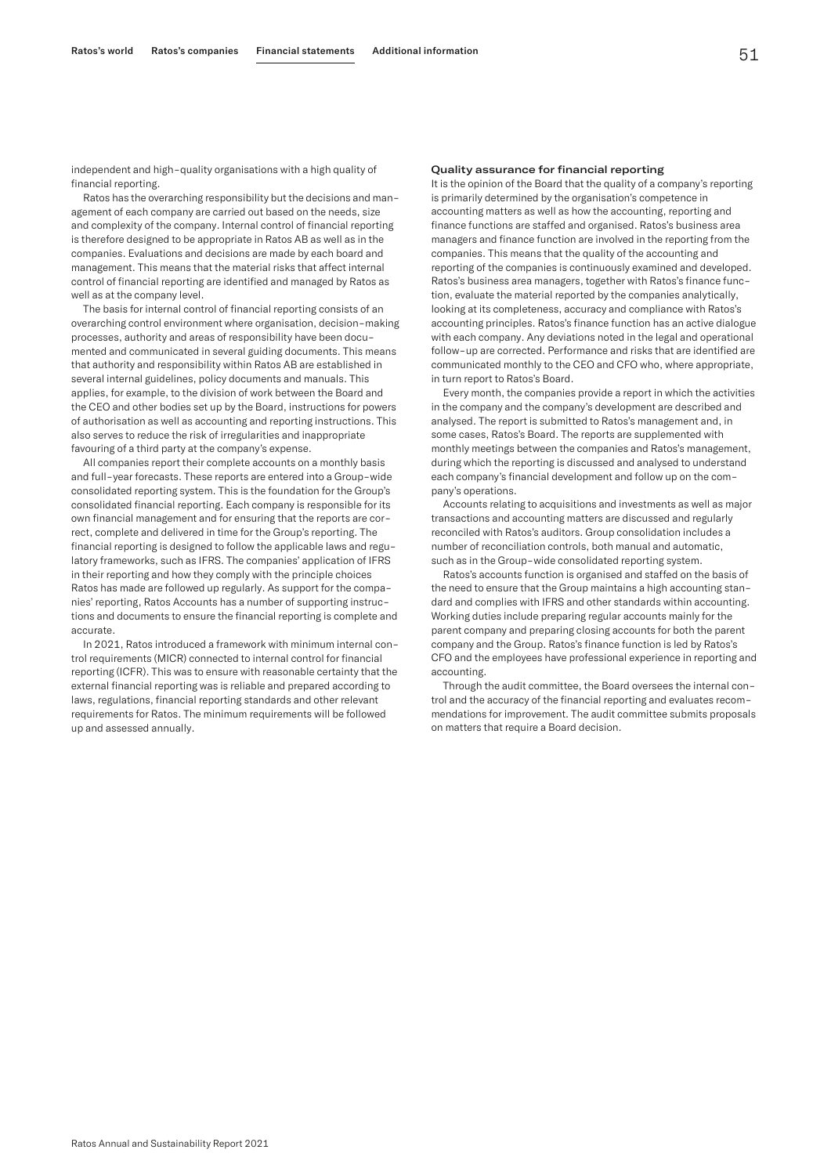independent and high-quality organisations with a high quality of financial reporting.

Ratos has the overarching responsibility but the decisions and management of each company are carried out based on the needs, size and complexity of the company. Internal control of financial reporting is therefore designed to be appropriate in Ratos AB as well as in the companies. Evaluations and decisions are made by each board and management. This means that the material risks that affect internal control of financial reporting are identified and managed by Ratos as well as at the company level.

The basis for internal control of financial reporting consists of an overarching control environment where organisation, decision-making processes, authority and areas of responsibility have been documented and communicated in several guiding documents. This means that authority and responsibility within Ratos AB are established in several internal guidelines, policy documents and manuals. This applies, for example, to the division of work between the Board and the CEO and other bodies set up by the Board, instructions for powers of authorisation as well as accounting and reporting instructions. This also serves to reduce the risk of irregularities and inappropriate favouring of a third party at the company's expense.

All companies report their complete accounts on a monthly basis and full-year forecasts. These reports are entered into a Group-wide consolidated reporting system. This is the foundation for the Group's consolidated financial reporting. Each company is responsible for its own financial management and for ensuring that the reports are correct, complete and delivered in time for the Group's reporting. The financial reporting is designed to follow the applicable laws and regulatory frameworks, such as IFRS. The companies' application of IFRS in their reporting and how they comply with the principle choices Ratos has made are followed up regularly. As support for the companies' reporting, Ratos Accounts has a number of supporting instructions and documents to ensure the financial reporting is complete and accurate.

In 2021, Ratos introduced a framework with minimum internal control requirements (MICR) connected to internal control for financial reporting (ICFR). This was to ensure with reasonable certainty that the external financial reporting was is reliable and prepared according to laws, regulations, financial reporting standards and other relevant requirements for Ratos. The minimum requirements will be followed up and assessed annually.

#### Quality assurance for financial reporting

It is the opinion of the Board that the quality of a company's reporting is primarily determined by the organisation's competence in accounting matters as well as how the accounting, reporting and finance functions are staffed and organised. Ratos's business area managers and finance function are involved in the reporting from the companies. This means that the quality of the accounting and reporting of the companies is continuously examined and developed. Ratos's business area managers, together with Ratos's finance function, evaluate the material reported by the companies analytically, looking at its completeness, accuracy and compliance with Ratos's accounting principles. Ratos's finance function has an active dialogue with each company. Any deviations noted in the legal and operational follow-up are corrected. Performance and risks that are identified are communicated monthly to the CEO and CFO who, where appropriate, in turn report to Ratos's Board.

Every month, the companies provide a report in which the activities in the company and the company's development are described and analysed. The report is submitted to Ratos's management and, in some cases, Ratos's Board. The reports are supplemented with monthly meetings between the companies and Ratos's management, during which the reporting is discussed and analysed to understand each company's financial development and follow up on the company's operations.

Accounts relating to acquisitions and investments as well as major transactions and accounting matters are discussed and regularly reconciled with Ratos's auditors. Group consolidation includes a number of reconciliation controls, both manual and automatic, such as in the Group-wide consolidated reporting system.

Ratos's accounts function is organised and staffed on the basis of the need to ensure that the Group maintains a high accounting standard and complies with IFRS and other standards within accounting. Working duties include preparing regular accounts mainly for the parent company and preparing closing accounts for both the parent company and the Group. Ratos's finance function is led by Ratos's CFO and the employees have professional experience in reporting and accounting.

Through the audit committee, the Board oversees the internal control and the accuracy of the financial reporting and evaluates recommendations for improvement. The audit committee submits proposals on matters that require a Board decision.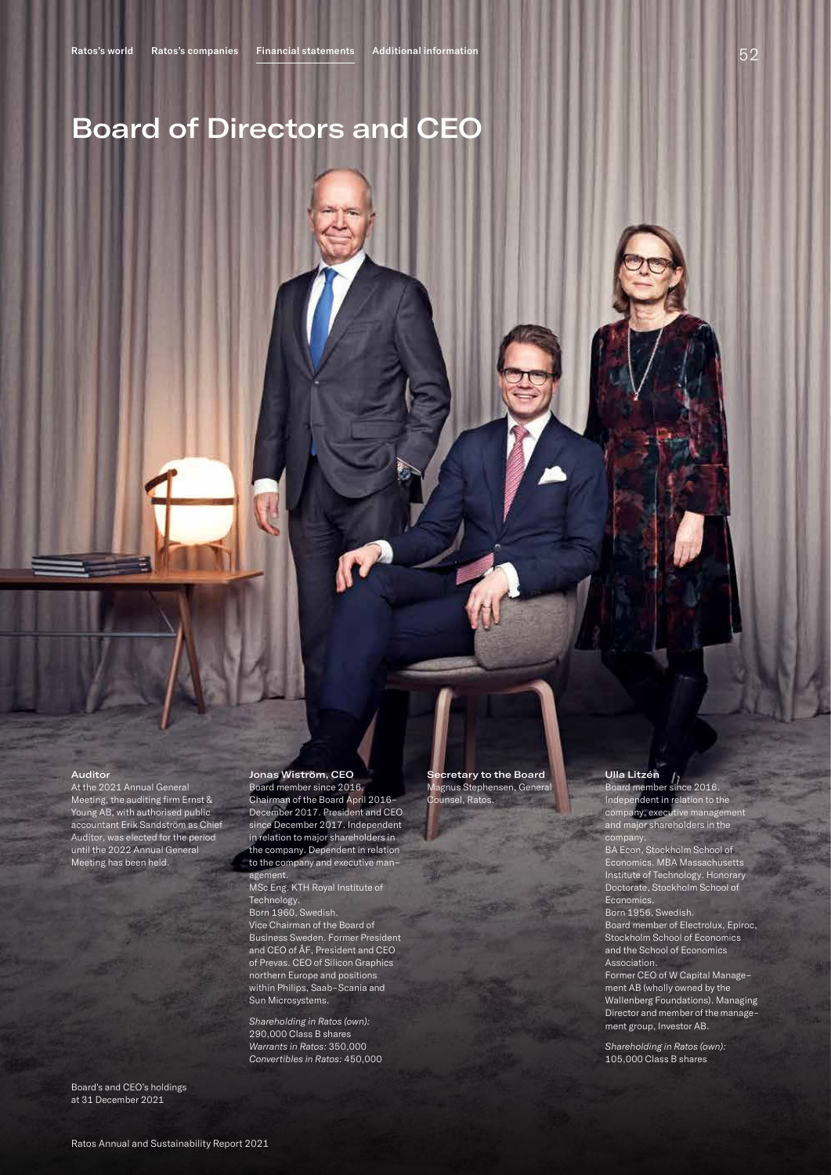# Board of Directors and CEO

#### Auditor

At the 2021 Annual General Meeting, the auditing firm Ernst & Young AB, with authorised public accountant Erik Sandström as Chief Auditor, was elected for the period until the 2022 Annual General Meeting has been held.

Board's and CEO's holdings at 31 December 2021

## Jonas Wiström, CEO

Board member since 2016. Chairman of the Board April 2016– December 2017. President and CEO since December 2017. Independent in relation to major shareholders in the company. Dependent in relation to the company and executive management.

MSc Eng. KTH Royal Institute of Technology.

Born 1960, Swedish. Vice Chairman of the Board of Business Sweden. Former President and CEO of ÅF, President and CEO of Prevas. CEO of Silicon Graphics northern Europe and positions within Philips, Saab-Scania and Sun Microsystems.

*Shareholding in Ratos (own):* 290,000 Class B shares *Warrants in Ratos:* 350,000 *Convertibles in Ratos:* 450,000

cretary to the Board Magnus Stephensen, General Counsel, Ratos.

#### Ulla Litzén Ull**a Litzén**<br>Board member since 2016.

Independent in relation to the company, executive management and major shareholders in the company.

BA Econ, Stockholm School of Economics. MBA Massachusetts Institute of Technology. Honorary Doctorate, Stockholm School of **Economics** 

Born 1956, Swedish.

Board member of Electrolux, Epiroc, Stockholm School of Economics and the School of Economics Association.

Former CEO of W Capital Management AB (wholly owned by the Wallenberg Foundations). Managing Director and member of the management group, Investor AB.

*Shareholding in Ratos (own):* 105,000 Class B shares